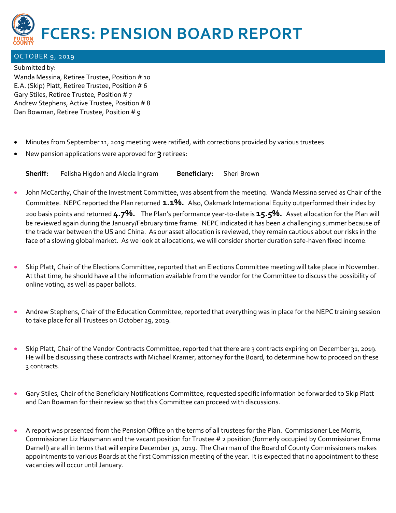

## OCTOBER 9, 2019

Submitted by:

Wanda Messina, Retiree Trustee, Position # 10 E.A. (Skip) Platt, Retiree Trustee, Position # 6 Gary Stiles, Retiree Trustee, Position # 7 Andrew Stephens, Active Trustee, Position # 8 Dan Bowman, Retiree Trustee, Position # 9

- Minutes from September 11, 2019 meeting were ratified, with corrections provided by various trustees.
- New pension applications were approved for **3** retirees:

**Sheriff:** Felisha Higdon and Alecia Ingram **Beneficiary:** Sheri Brown

- John McCarthy, Chair of the Investment Committee, was absent from the meeting. Wanda Messina served as Chair of the Committee. NEPC reported the Plan returned **1.1%.** Also, Oakmark International Equity outperformed their index by 200 basis points and returned **4.7%.** The Plan's performance year-to-date is **15.5%.** Asset allocation for the Plan will be reviewed again during the January/February time frame. NEPC indicated it has been a challenging summer because of the trade war between the US and China. As our asset allocation is reviewed, they remain cautious about our risks in the face of a slowing global market. As we look at allocations, we will consider shorter duration safe-haven fixed income.
- Skip Platt, Chair of the Elections Committee, reported that an Elections Committee meeting will take place in November. At that time, he should have all the information available from the vendor for the Committee to discuss the possibility of online voting, as well as paper ballots.
- Andrew Stephens, Chair of the Education Committee, reported that everything was in place for the NEPC training session to take place for all Trustees on October 29, 2019.
- Skip Platt, Chair of the Vendor Contracts Committee, reported that there are 3 contracts expiring on December 31, 2019. He will be discussing these contracts with Michael Kramer, attorney for the Board, to determine how to proceed on these 3 contracts.
- Gary Stiles, Chair of the Beneficiary Notifications Committee, requested specific information be forwarded to Skip Platt and Dan Bowman for their review so that this Committee can proceed with discussions.
- A report was presented from the Pension Office on the terms of all trustees for the Plan. Commissioner Lee Morris, Commissioner Liz Hausmann and the vacant position for Trustee # 2 position (formerly occupied by Commissioner Emma Darnell) are all in terms that will expire December 31, 2019. The Chairman of the Board of County Commissioners makes appointments to various Boards at the first Commission meeting of the year. It is expected that no appointment to these vacancies will occur until January.